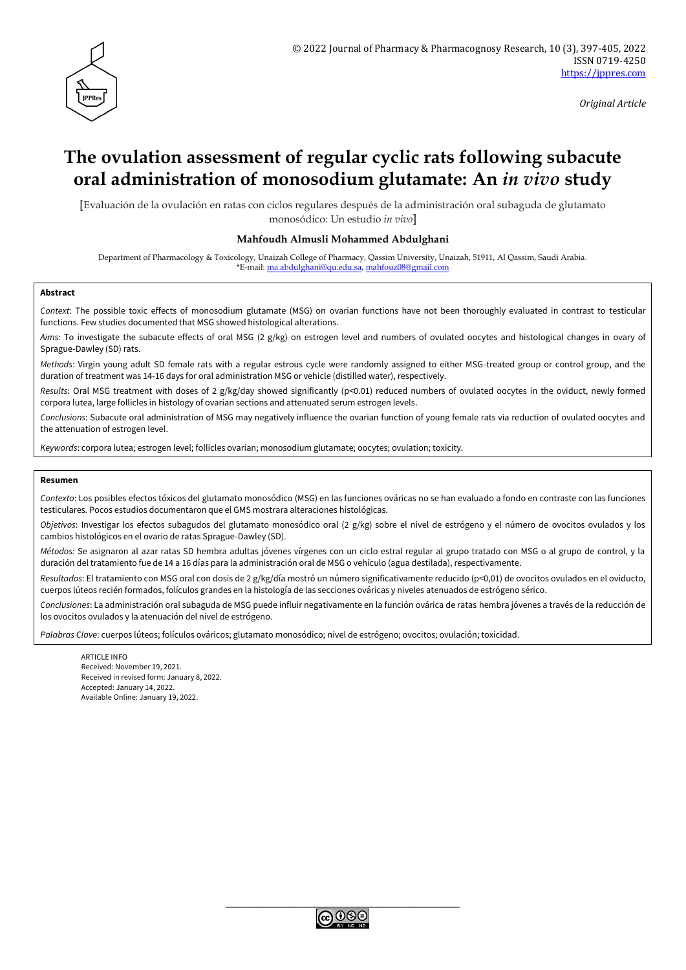

*Original Article*

# **The ovulation assessment of regular cyclic rats following subacute oral administration of monosodium glutamate: An** *in vivo* **study**

[Evaluación de la ovulación en ratas con ciclos regulares después de la administración oral subaguda de glutamato monosódico: Un estudio *in vivo*]

#### **Mahfoudh Almusli Mohammed Abdulghani**

Department of Pharmacology & Toxicology, Unaizah College of Pharmacy, Qassim University, Unaizah, 51911, Al Qassim, Saudi Arabia. \*E-mail: [ma.abdulghani@qu.edu.sa,](mailto:ma.abdulghani@qu.edu.sa) [mahfouz08@gmail.com](mailto:mahfouz08@gmail.com)

#### **Abstract**

*Context*: The possible toxic effects of monosodium glutamate (MSG) on ovarian functions have not been thoroughly evaluated in contrast to testicular functions. Few studies documented that MSG showed histological alterations.

*Aims*: To investigate the subacute effects of oral MSG (2 g/kg) on estrogen level and numbers of ovulated oocytes and histological changes in ovary of Sprague-Dawley (SD) rats.

*Methods*: Virgin young adult SD female rats with a regular estrous cycle were randomly assigned to either MSG-treated group or control group, and the duration of treatment was 14-16 days for oral administration MSG or vehicle (distilled water), respectively.

*Results*: Oral MSG treatment with doses of 2 g/kg/day showed significantly (p<0.01) reduced numbers of ovulated oocytes in the oviduct, newly formed corpora lutea, large follicles in histology of ovarian sections and attenuated serum estrogen levels.

*Conclusions*: Subacute oral administration of MSG may negatively influence the ovarian function of young female rats via reduction of ovulated oocytes and the attenuation of estrogen level.

*Keywords*: corpora lutea; estrogen level; follicles ovarian; monosodium glutamate; oocytes; ovulation; toxicity.

#### **Resumen**

*Contexto*: Los posibles efectos tóxicos del glutamato monosódico (MSG) en las funciones ováricas no se han evaluado a fondo en contraste con las funciones testiculares. Pocos estudios documentaron que el GMS mostrara alteraciones histológicas.

*Objetivos*: Investigar los efectos subagudos del glutamato monosódico oral (2 g/kg) sobre el nivel de estrógeno y el número de ovocitos ovulados y los cambios histológicos en el ovario de ratas Sprague-Dawley (SD).

*Métodos:* Se asignaron al azar ratas SD hembra adultas jóvenes vírgenes con un ciclo estral regular al grupo tratado con MSG o al grupo de control, y la duración del tratamiento fue de 14 a 16 días para la administración oral de MSG o vehículo (agua destilada), respectivamente.

*Resultados*: El tratamiento con MSG oral con dosis de 2 g/kg/día mostró un número significativamente reducido (p<0,01) de ovocitos ovulados en el oviducto, cuerpos lúteos recién formados, folículos grandes en la histología de las secciones ováricas y niveles atenuados de estrógeno sérico.

*Conclusiones*: La administración oral subaguda de MSG puede influir negativamente en la función ovárica de ratas hembra jóvenes a través de la reducción de los ovocitos ovulados y la atenuación del nivel de estrógeno.

*Palabras Clave*: cuerpos lúteos; folículos ováricos; glutamato monosódico; nivel de estrógeno; ovocitos; ovulación; toxicidad.

ARTICLE INFO Received: November 19, 2021. Received in revised form: January 8, 2022. Accepted: January 14, 2022. Available Online: January 19, 2022.

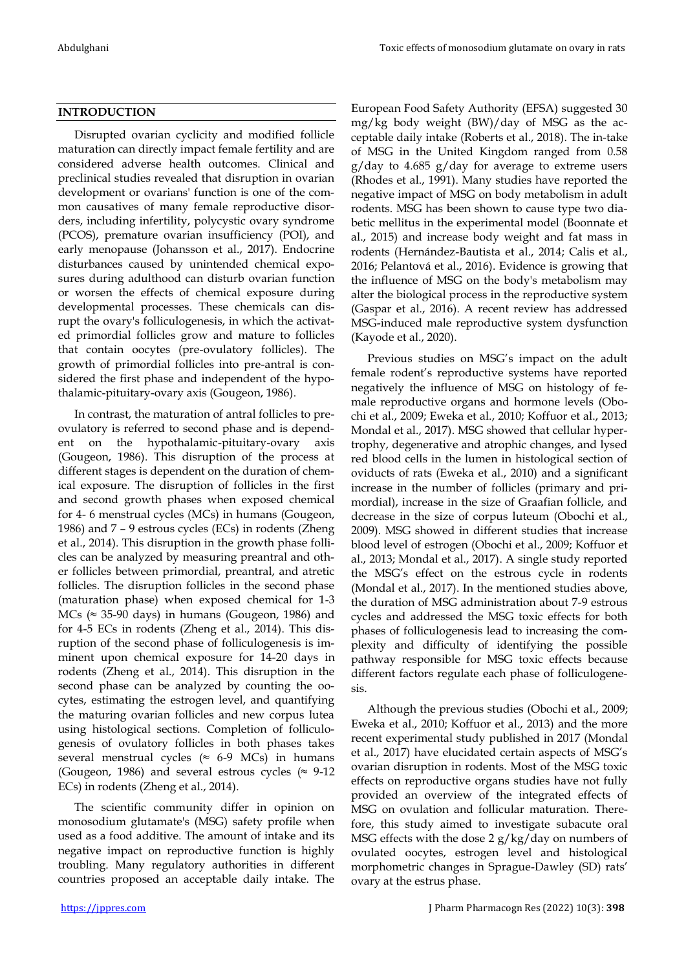# **INTRODUCTION**

Disrupted ovarian cyclicity and modified follicle maturation can directly impact female fertility and are considered adverse health outcomes. Clinical and preclinical studies revealed that disruption in ovarian development or ovarians' function is one of the common causatives of many female reproductive disorders, including infertility, polycystic ovary syndrome (PCOS), premature ovarian insufficiency (POI), and early menopause (Johansson et al., 2017). Endocrine disturbances caused by unintended chemical exposures during adulthood can disturb ovarian function or worsen the effects of chemical exposure during developmental processes. These chemicals can disrupt the ovary's folliculogenesis, in which the activated primordial follicles grow and mature to follicles that contain oocytes (pre-ovulatory follicles). The growth of primordial follicles into pre-antral is considered the first phase and independent of the hypothalamic-pituitary-ovary axis (Gougeon, 1986).

In contrast, the maturation of antral follicles to preovulatory is referred to second phase and is dependent on the hypothalamic-pituitary-ovary axis (Gougeon, 1986). This disruption of the process at different stages is dependent on the duration of chemical exposure. The disruption of follicles in the first and second growth phases when exposed chemical for 4- 6 menstrual cycles (MCs) in humans (Gougeon, 1986) and 7 – 9 estrous cycles (ECs) in rodents (Zheng et al., 2014). This disruption in the growth phase follicles can be analyzed by measuring preantral and other follicles between primordial, preantral, and atretic follicles. The disruption follicles in the second phase (maturation phase) when exposed chemical for 1-3 MCs ( $\approx$  35-90 days) in humans (Gougeon, 1986) and for 4-5 ECs in rodents (Zheng et al., 2014). This disruption of the second phase of folliculogenesis is imminent upon chemical exposure for 14-20 days in rodents (Zheng et al., 2014). This disruption in the second phase can be analyzed by counting the oocytes, estimating the estrogen level, and quantifying the maturing ovarian follicles and new corpus lutea using histological sections. Completion of folliculogenesis of ovulatory follicles in both phases takes several menstrual cycles ( $\approx$  6-9 MCs) in humans (Gougeon, 1986) and several estrous cycles ( $\approx$  9-12 ECs) in rodents (Zheng et al., 2014).

The scientific community differ in opinion on monosodium glutamate's (MSG) safety profile when used as a food additive. The amount of intake and its negative impact on reproductive function is highly troubling. Many regulatory authorities in different countries proposed an acceptable daily intake. The European Food Safety Authority (EFSA) suggested 30 mg/kg body weight (BW)/day of MSG as the acceptable daily intake (Roberts et al., 2018). The in-take of MSG in the United Kingdom ranged from 0.58 g/day to 4.685 g/day for average to extreme users (Rhodes et al., 1991). Many studies have reported the negative impact of MSG on body metabolism in adult rodents. MSG has been shown to cause type two diabetic mellitus in the experimental model (Boonnate et al., 2015) and increase body weight and fat mass in rodents (Hernández-Bautista et al., 2014; Calis et al., 2016; Pelantová et al., 2016). Evidence is growing that the influence of MSG on the body's metabolism may alter the biological process in the reproductive system (Gaspar et al., 2016). A recent review has addressed MSG-induced male reproductive system dysfunction (Kayode et al., 2020).

Previous studies on MSG's impact on the adult female rodent's reproductive systems have reported negatively the influence of MSG on histology of female reproductive organs and hormone levels (Obochi et al., 2009; Eweka et al., 2010; Koffuor et al., 2013; Mondal et al., 2017). MSG showed that cellular hypertrophy, degenerative and atrophic changes, and lysed red blood cells in the lumen in histological section of oviducts of rats (Eweka et al., 2010) and a significant increase in the number of follicles (primary and primordial), increase in the size of Graafian follicle, and decrease in the size of corpus luteum (Obochi et al., 2009). MSG showed in different studies that increase blood level of estrogen (Obochi et al., 2009; Koffuor et al., 2013; Mondal et al., 2017). A single study reported the MSG's effect on the estrous cycle in rodents (Mondal et al., 2017). In the mentioned studies above, the duration of MSG administration about 7-9 estrous cycles and addressed the MSG toxic effects for both phases of folliculogenesis lead to increasing the complexity and difficulty of identifying the possible pathway responsible for MSG toxic effects because different factors regulate each phase of folliculogenesis.

Although the previous studies (Obochi et al., 2009; Eweka et al., 2010; Koffuor et al., 2013) and the more recent experimental study published in 2017 (Mondal et al., 2017) have elucidated certain aspects of MSG's ovarian disruption in rodents. Most of the MSG toxic effects on reproductive organs studies have not fully provided an overview of the integrated effects of MSG on ovulation and follicular maturation. Therefore, this study aimed to investigate subacute oral MSG effects with the dose  $2 g/kg/day$  on numbers of ovulated oocytes, estrogen level and histological morphometric changes in Sprague-Dawley (SD) rats' ovary at the estrus phase.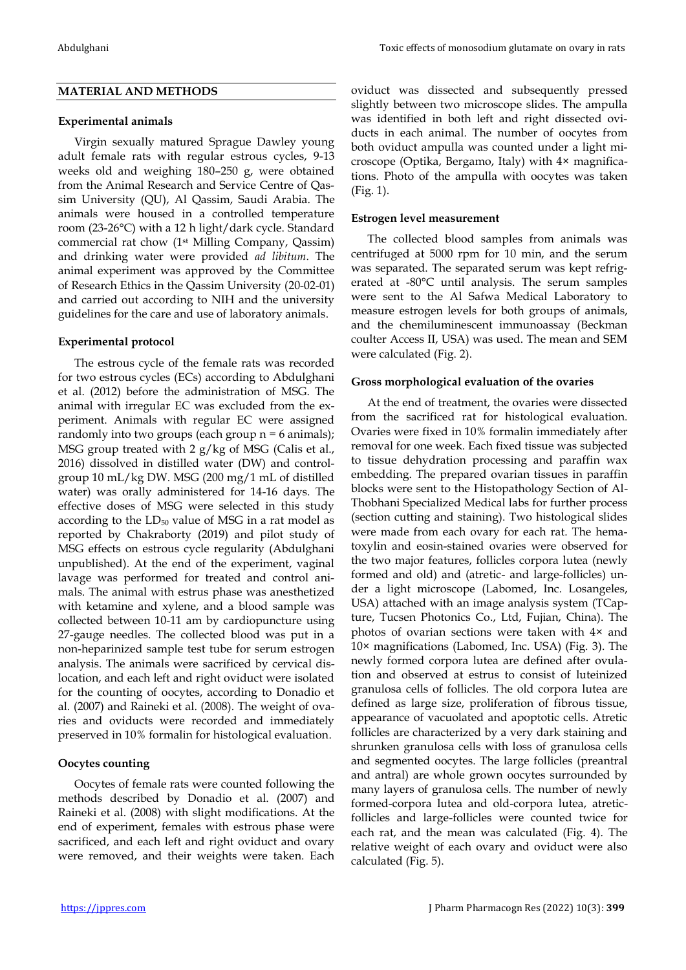## **MATERIAL AND METHODS**

#### **Experimental animals**

Virgin sexually matured Sprague Dawley young adult female rats with regular estrous cycles, 9-13 weeks old and weighing 180–250 g, were obtained from the Animal Research and Service Centre of Qassim University (QU), Al Qassim, Saudi Arabia. The animals were housed in a controlled temperature room (23-26°C) with a 12 h light/dark cycle. Standard commercial rat chow (1st Milling Company, Qassim) and drinking water were provided *ad libitum*. The animal experiment was approved by the Committee of Research Ethics in the Qassim University (20-02-01) and carried out according to NIH and the university guidelines for the care and use of laboratory animals.

#### **Experimental protocol**

The estrous cycle of the female rats was recorded for two estrous cycles (ECs) according to Abdulghani et al. (2012) before the administration of MSG. The animal with irregular EC was excluded from the experiment. Animals with regular EC were assigned randomly into two groups (each group  $n = 6$  animals); MSG group treated with 2 g/kg of MSG (Calis et al., 2016) dissolved in distilled water (DW) and controlgroup 10 mL/kg DW. MSG (200 mg/1 mL of distilled water) was orally administered for 14-16 days. The effective doses of MSG were selected in this study according to the  $LD_{50}$  value of MSG in a rat model as reported by Chakraborty (2019) and pilot study of MSG effects on estrous cycle regularity (Abdulghani unpublished). At the end of the experiment, vaginal lavage was performed for treated and control animals. The animal with estrus phase was anesthetized with ketamine and xylene, and a blood sample was collected between 10-11 am by cardiopuncture using 27-gauge needles. The collected blood was put in a non-heparinized sample test tube for serum estrogen analysis. The animals were sacrificed by cervical dislocation, and each left and right oviduct were isolated for the counting of oocytes, according to Donadio et al. (2007) and Raineki et al. (2008). The weight of ovaries and oviducts were recorded and immediately preserved in 10% formalin for histological evaluation.

#### **Oocytes counting**

Oocytes of female rats were counted following the methods described by Donadio et al. (2007) and Raineki et al. (2008) with slight modifications. At the end of experiment, females with estrous phase were sacrificed, and each left and right oviduct and ovary were removed, and their weights were taken. Each oviduct was dissected and subsequently pressed slightly between two microscope slides. The ampulla was identified in both left and right dissected oviducts in each animal. The number of oocytes from both oviduct ampulla was counted under a light microscope (Optika, Bergamo, Italy) with 4× magnifications. Photo of the ampulla with oocytes was taken (Fig. 1).

#### **Estrogen level measurement**

The collected blood samples from animals was centrifuged at 5000 rpm for 10 min, and the serum was separated. The separated serum was kept refrigerated at -80°C until analysis. The serum samples were sent to the Al Safwa Medical Laboratory to measure estrogen levels for both groups of animals, and the chemiluminescent immunoassay (Beckman coulter Access II, USA) was used. The mean and SEM were calculated (Fig. 2).

#### **Gross morphological evaluation of the ovaries**

At the end of treatment, the ovaries were dissected from the sacrificed rat for histological evaluation. Ovaries were fixed in 10% formalin immediately after removal for one week. Each fixed tissue was subjected to tissue dehydration processing and paraffin wax embedding. The prepared ovarian tissues in paraffin blocks were sent to the Histopathology Section of Al-Thobhani Specialized Medical labs for further process (section cutting and staining). Two histological slides were made from each ovary for each rat. The hematoxylin and eosin-stained ovaries were observed for the two major features, follicles corpora lutea (newly formed and old) and (atretic- and large-follicles) under a light microscope (Labomed, Inc. Losangeles, USA) attached with an image analysis system (TCapture, Tucsen Photonics Co., Ltd, Fujian, China). The photos of ovarian sections were taken with 4× and 10× magnifications (Labomed, Inc. USA) (Fig. 3). The newly formed corpora lutea are defined after ovulation and observed at estrus to consist of luteinized granulosa cells of follicles. The old corpora lutea are defined as large size, proliferation of fibrous tissue, appearance of vacuolated and apoptotic cells. Atretic follicles are characterized by a very dark staining and shrunken granulosa cells with loss of granulosa cells and segmented oocytes. The large follicles (preantral and antral) are whole grown oocytes surrounded by many layers of granulosa cells. The number of newly formed-corpora lutea and old-corpora lutea, atreticfollicles and large-follicles were counted twice for each rat, and the mean was calculated (Fig. 4). The relative weight of each ovary and oviduct were also calculated (Fig. 5).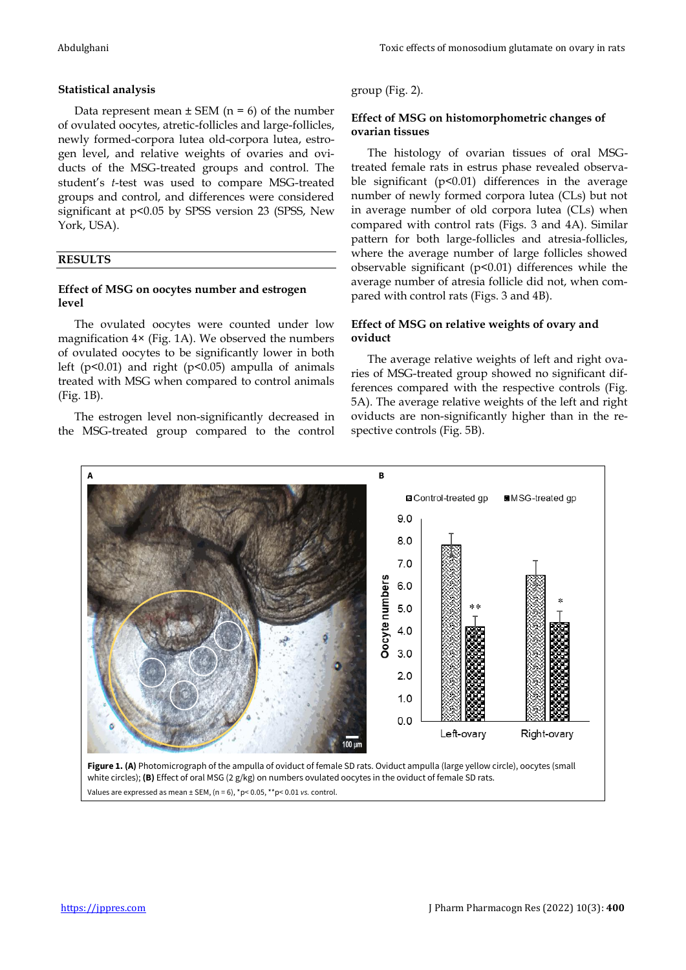# **Statistical analysis**

Data represent mean  $\pm$  SEM (n = 6) of the number of ovulated oocytes, atretic-follicles and large-follicles, newly formed-corpora lutea old-corpora lutea, estrogen level, and relative weights of ovaries and oviducts of the MSG-treated groups and control. The student's *t*-test was used to compare MSG-treated groups and control, and differences were considered significant at p<0.05 by SPSS version 23 (SPSS, New York, USA).

# **RESULTS**

# **Effect of MSG on oocytes number and estrogen level**

The ovulated oocytes were counted under low magnification 4× (Fig. 1A). We observed the numbers of ovulated oocytes to be significantly lower in both left ( $p$ <0.01) and right ( $p$ <0.05) ampulla of animals treated with MSG when compared to control animals (Fig. 1B).

The estrogen level non-significantly decreased in the MSG-treated group compared to the control group (Fig. 2).

# **Effect of MSG on histomorphometric changes of ovarian tissues**

The histology of ovarian tissues of oral MSGtreated female rats in estrus phase revealed observable significant (p<0.01) differences in the average number of newly formed corpora lutea (CLs) but not in average number of old corpora lutea (CLs) when compared with control rats (Figs. 3 and 4A). Similar pattern for both large-follicles and atresia-follicles, where the average number of large follicles showed observable significant (p<0.01) differences while the average number of atresia follicle did not, when compared with control rats (Figs. 3 and 4B).

# **Effect of MSG on relative weights of ovary and oviduct**

The average relative weights of left and right ovaries of MSG-treated group showed no significant differences compared with the respective controls (Fig. 5A). The average relative weights of the left and right oviducts are non-significantly higher than in the respective controls (Fig. 5B).



Values are expressed as mean ± SEM, (n = 6), \*p< 0.05, \*\*p< 0.01 *vs.* control.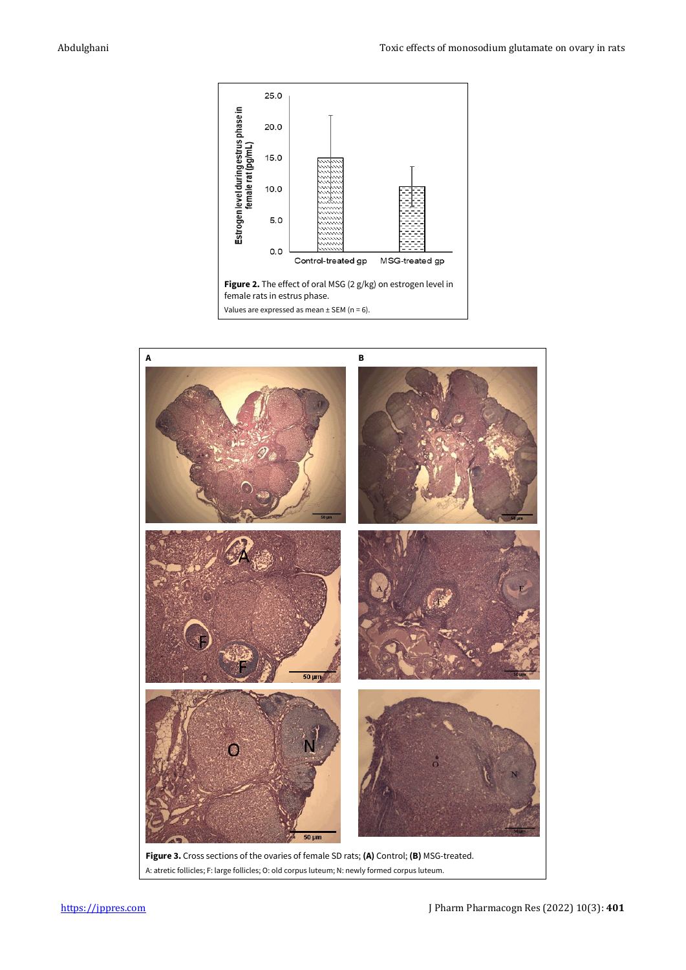

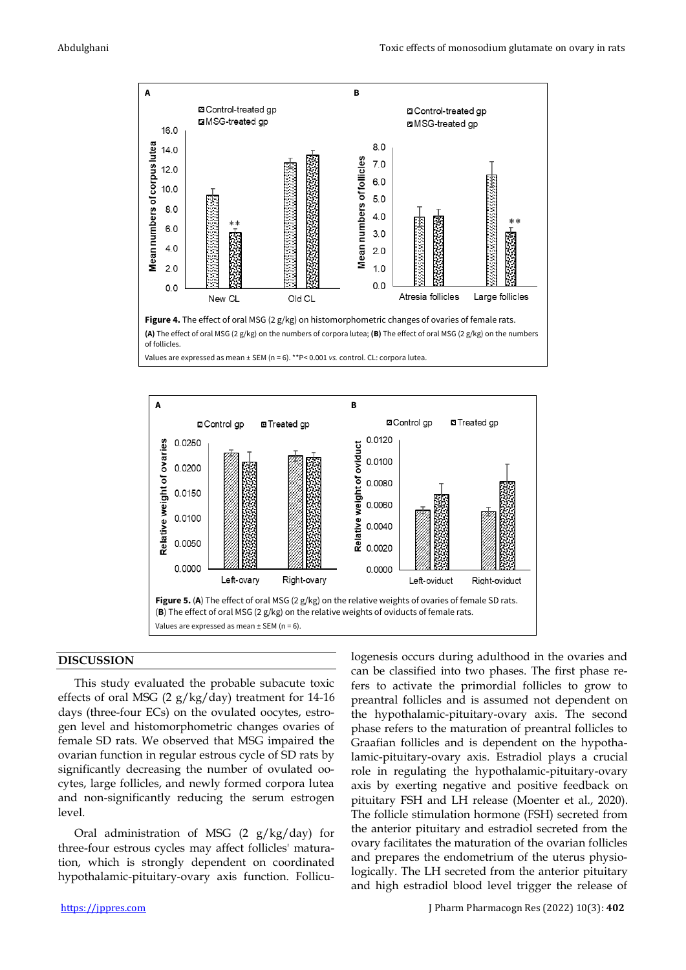



# **DISCUSSION**

This study evaluated the probable subacute toxic effects of oral MSG (2  $g/kg/day$ ) treatment for 14-16 days (three-four ECs) on the ovulated oocytes, estrogen level and histomorphometric changes ovaries of female SD rats. We observed that MSG impaired the ovarian function in regular estrous cycle of SD rats by significantly decreasing the number of ovulated oocytes, large follicles, and newly formed corpora lutea and non-significantly reducing the serum estrogen level.

Oral administration of MSG  $(2 g/kg/day)$  for three-four estrous cycles may affect follicles' maturation, which is strongly dependent on coordinated hypothalamic-pituitary-ovary axis function. Follicucan be classified into two phases. The first phase refers to activate the primordial follicles to grow to preantral follicles and is assumed not dependent on the hypothalamic-pituitary-ovary axis. The second phase refers to the maturation of preantral follicles to Graafian follicles and is dependent on the hypothalamic-pituitary-ovary axis. Estradiol plays a crucial role in regulating the hypothalamic-pituitary-ovary axis by exerting negative and positive feedback on pituitary FSH and LH release (Moenter et al., 2020). The follicle stimulation hormone (FSH) secreted from the anterior pituitary and estradiol secreted from the ovary facilitates the maturation of the ovarian follicles and prepares the endometrium of the uterus physiologically. The LH secreted from the anterior pituitary and high estradiol blood level trigger the release of

logenesis occurs during adulthood in the ovaries and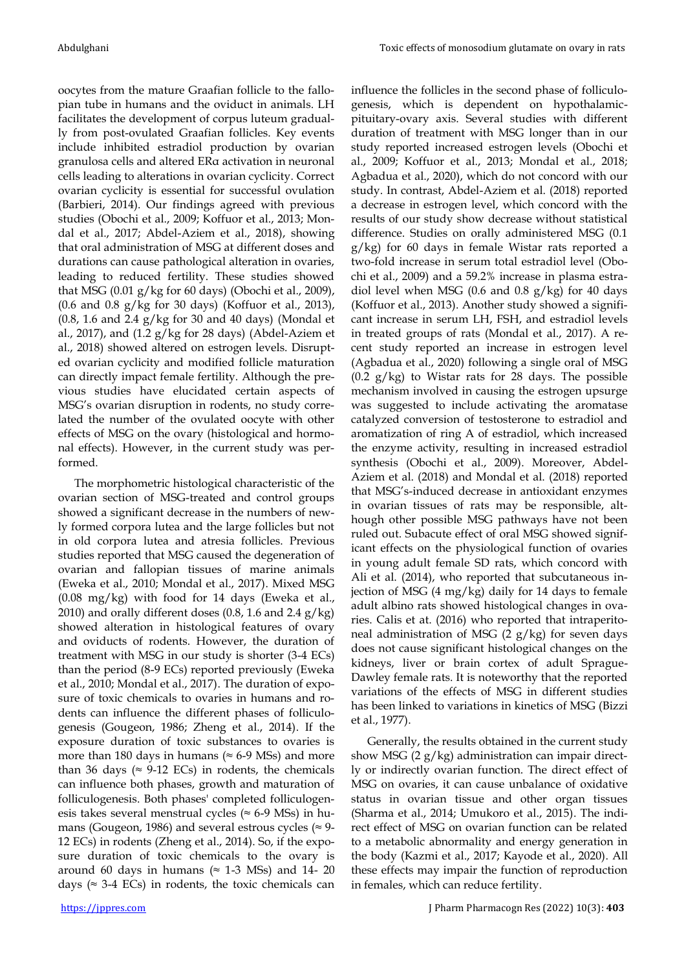oocytes from the mature Graafian follicle to the fallopian tube in humans and the oviduct in animals. LH facilitates the development of corpus luteum gradually from post-ovulated Graafian follicles. Key events include inhibited estradiol production by ovarian granulosa cells and altered ERα activation in neuronal cells leading to alterations in ovarian cyclicity. Correct ovarian cyclicity is essential for successful ovulation (Barbieri, 2014). Our findings agreed with previous studies (Obochi et al., 2009; Koffuor et al., 2013; Mondal et al., 2017; Abdel-Aziem et al., 2018), showing that oral administration of MSG at different doses and durations can cause pathological alteration in ovaries, leading to reduced fertility. These studies showed that MSG (0.01 g/kg for 60 days) (Obochi et al., 2009),  $(0.6$  and  $0.8$  g/kg for 30 days) (Koffuor et al., 2013),  $(0.8, 1.6 \text{ and } 2.4 \text{ g/kg} \text{ for } 30 \text{ and } 40 \text{ days})$  (Mondal et al., 2017), and  $(1.2 \text{ g/kg}$  for 28 days) (Abdel-Aziem et al., 2018) showed altered on estrogen levels. Disrupted ovarian cyclicity and modified follicle maturation can directly impact female fertility. Although the previous studies have elucidated certain aspects of MSG's ovarian disruption in rodents, no study correlated the number of the ovulated oocyte with other effects of MSG on the ovary (histological and hormonal effects). However, in the current study was performed.

The morphometric histological characteristic of the ovarian section of MSG-treated and control groups showed a significant decrease in the numbers of newly formed corpora lutea and the large follicles but not in old corpora lutea and atresia follicles. Previous studies reported that MSG caused the degeneration of ovarian and fallopian tissues of marine animals (Eweka et al., 2010; Mondal et al., 2017). Mixed MSG (0.08 mg/kg) with food for 14 days (Eweka et al., 2010) and orally different doses (0.8, 1.6 and 2.4  $g/kg$ ) showed alteration in histological features of ovary and oviducts of rodents. However, the duration of treatment with MSG in our study is shorter (3-4 ECs) than the period (8-9 ECs) reported previously (Eweka et al., 2010; Mondal et al., 2017). The duration of exposure of toxic chemicals to ovaries in humans and rodents can influence the different phases of folliculogenesis (Gougeon, 1986; Zheng et al., 2014). If the exposure duration of toxic substances to ovaries is more than 180 days in humans ( $\approx$  6-9 MSs) and more than 36 days ( $\approx$  9-12 ECs) in rodents, the chemicals can influence both phases, growth and maturation of folliculogenesis. Both phases' completed folliculogenesis takes several menstrual cycles ( $\approx$  6-9 MSs) in humans (Gougeon, 1986) and several estrous cycles ( $\approx$  9-12 ECs) in rodents (Zheng et al., 2014). So, if the exposure duration of toxic chemicals to the ovary is around 60 days in humans ( $\approx$  1-3 MSs) and 14- 20 days ( $\approx$  3-4 ECs) in rodents, the toxic chemicals can influence the follicles in the second phase of folliculogenesis, which is dependent on hypothalamicpituitary-ovary axis. Several studies with different duration of treatment with MSG longer than in our study reported increased estrogen levels (Obochi et al., 2009; Koffuor et al., 2013; Mondal et al., 2018; Agbadua et al., 2020), which do not concord with our study. In contrast, Abdel-Aziem et al. (2018) reported a decrease in estrogen level, which concord with the results of our study show decrease without statistical difference. Studies on orally administered MSG (0.1 g/kg) for 60 days in female Wistar rats reported a two-fold increase in serum total estradiol level (Obochi et al., 2009) and a 59.2% increase in plasma estradiol level when MSG (0.6 and 0.8  $g/kg$ ) for 40 days (Koffuor et al., 2013). Another study showed a significant increase in serum LH, FSH, and estradiol levels in treated groups of rats (Mondal et al., 2017). A recent study reported an increase in estrogen level (Agbadua et al., 2020) following a single oral of MSG  $(0.2 \text{ g/kg})$  to Wistar rats for 28 days. The possible mechanism involved in causing the estrogen upsurge was suggested to include activating the aromatase catalyzed conversion of testosterone to estradiol and aromatization of ring A of estradiol, which increased the enzyme activity, resulting in increased estradiol synthesis (Obochi et al., 2009). Moreover, Abdel-Aziem et al. (2018) and Mondal et al. (2018) reported that MSG's-induced decrease in antioxidant enzymes in ovarian tissues of rats may be responsible, although other possible MSG pathways have not been ruled out. Subacute effect of oral MSG showed significant effects on the physiological function of ovaries in young adult female SD rats, which concord with Ali et al. (2014), who reported that subcutaneous injection of MSG (4 mg/kg) daily for 14 days to female adult albino rats showed histological changes in ovaries. Calis et at. (2016) who reported that intraperitoneal administration of MSG (2 g/kg) for seven days does not cause significant histological changes on the kidneys, liver or brain cortex of adult Sprague-Dawley female rats. It is noteworthy that the reported variations of the effects of MSG in different studies has been linked to variations in kinetics of MSG (Bizzi et al., 1977).

Generally, the results obtained in the current study show MSG  $(2 g/kg)$  administration can impair directly or indirectly ovarian function. The direct effect of MSG on ovaries, it can cause unbalance of oxidative status in ovarian tissue and other organ tissues (Sharma et al., 2014; Umukoro et al., 2015). The indirect effect of MSG on ovarian function can be related to a metabolic abnormality and energy generation in the body (Kazmi et al., 2017; Kayode et al., 2020). All these effects may impair the function of reproduction in females, which can reduce fertility.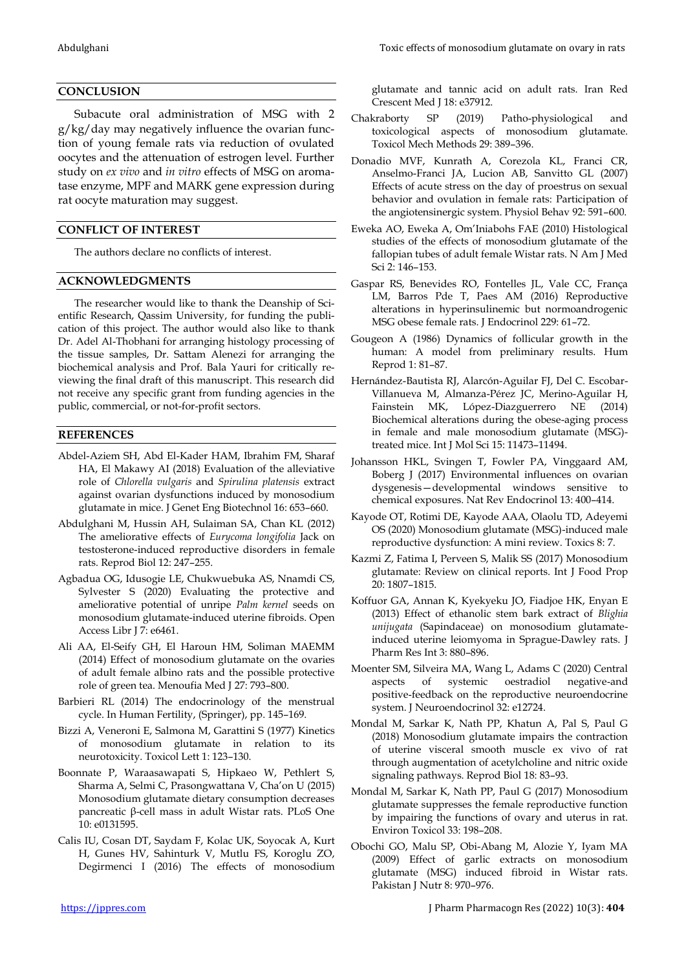# **CONCLUSION**

Subacute oral administration of MSG with 2 g/kg/day may negatively influence the ovarian function of young female rats via reduction of ovulated oocytes and the attenuation of estrogen level. Further study on *ex vivo* and *in vitro* effects of MSG on aromatase enzyme, MPF and MARK gene expression during rat oocyte maturation may suggest.

## **CONFLICT OF INTEREST**

The authors declare no conflicts of interest.

## **ACKNOWLEDGMENTS**

The researcher would like to thank the Deanship of Scientific Research, Qassim University, for funding the publication of this project. The author would also like to thank Dr. Adel Al-Thobhani for arranging histology processing of the tissue samples, Dr. Sattam Alenezi for arranging the biochemical analysis and Prof. Bala Yauri for critically reviewing the final draft of this manuscript. This research did not receive any specific grant from funding agencies in the public, commercial, or not-for-profit sectors.

# **REFERENCES**

- Abdel-Aziem SH, Abd El-Kader HAM, Ibrahim FM, Sharaf HA, El Makawy AI (2018) Evaluation of the alleviative role of *Chlorella vulgaris* and *Spirulina platensis* extract against ovarian dysfunctions induced by monosodium glutamate in mice. J Genet Eng Biotechnol 16: 653–660.
- Abdulghani M, Hussin AH, Sulaiman SA, Chan KL (2012) The ameliorative effects of *Eurycoma longifolia* Jack on testosterone-induced reproductive disorders in female rats. Reprod Biol 12: 247–255.
- Agbadua OG, Idusogie LE, Chukwuebuka AS, Nnamdi CS, Sylvester S (2020) Evaluating the protective and ameliorative potential of unripe *Palm kernel* seeds on monosodium glutamate-induced uterine fibroids. Open Access Libr J 7: e6461.
- Ali AA, El-Seify GH, El Haroun HM, Soliman MAEMM (2014) Effect of monosodium glutamate on the ovaries of adult female albino rats and the possible protective role of green tea. Menoufia Med J 27: 793–800.
- Barbieri RL (2014) The endocrinology of the menstrual cycle. In Human Fertility, (Springer), pp. 145–169.
- Bizzi A, Veneroni E, Salmona M, Garattini S (1977) Kinetics of monosodium glutamate in relation to its neurotoxicity. Toxicol Lett 1: 123–130.
- Boonnate P, Waraasawapati S, Hipkaeo W, Pethlert S, Sharma A, Selmi C, Prasongwattana V, Cha'on U (2015) Monosodium glutamate dietary consumption decreases pancreatic β-cell mass in adult Wistar rats. PLoS One 10: e0131595.
- Calis IU, Cosan DT, Saydam F, Kolac UK, Soyocak A, Kurt H, Gunes HV, Sahinturk V, Mutlu FS, Koroglu ZO, Degirmenci I (2016) The effects of monosodium

glutamate and tannic acid on adult rats. Iran Red Crescent Med J 18: e37912.

- Chakraborty SP (2019) Patho-physiological and toxicological aspects of monosodium glutamate. Toxicol Mech Methods 29: 389–396.
- Donadio MVF, Kunrath A, Corezola KL, Franci CR, Anselmo-Franci JA, Lucion AB, Sanvitto GL (2007) Effects of acute stress on the day of proestrus on sexual behavior and ovulation in female rats: Participation of the angiotensinergic system. Physiol Behav 92: 591–600.
- Eweka AO, Eweka A, Om'Iniabohs FAE (2010) Histological studies of the effects of monosodium glutamate of the fallopian tubes of adult female Wistar rats. N Am J Med Sci 2: 146–153.
- Gaspar RS, Benevides RO, Fontelles JL, Vale CC, França LM, Barros Pde T, Paes AM (2016) Reproductive alterations in hyperinsulinemic but normoandrogenic MSG obese female rats. J Endocrinol 229: 61–72.
- Gougeon A (1986) Dynamics of follicular growth in the human: A model from preliminary results. Hum Reprod 1: 81–87.
- Hernández-Bautista RJ, Alarcón-Aguilar FJ, Del C. Escobar-Villanueva M, Almanza-Pérez JC, Merino-Aguilar H, Fainstein MK, López-Diazguerrero NE (2014) Biochemical alterations during the obese-aging process in female and male monosodium glutamate (MSG) treated mice. Int J Mol Sci 15: 11473–11494.
- Johansson HKL, Svingen T, Fowler PA, Vinggaard AM, Boberg J (2017) Environmental influences on ovarian dysgenesis—developmental windows sensitive to chemical exposures. Nat Rev Endocrinol 13: 400–414.
- Kayode OT, Rotimi DE, Kayode AAA, Olaolu TD, Adeyemi OS (2020) Monosodium glutamate (MSG)-induced male reproductive dysfunction: A mini review. Toxics 8: 7.
- Kazmi Z, Fatima I, Perveen S, Malik SS (2017) Monosodium glutamate: Review on clinical reports. Int J Food Prop 20: 1807–1815.
- Koffuor GA, Annan K, Kyekyeku JO, Fiadjoe HK, Enyan E (2013) Effect of ethanolic stem bark extract of *Blighia unijugata* (Sapindaceae) on monosodium glutamateinduced uterine leiomyoma in Sprague-Dawley rats. J Pharm Res Int 3: 880–896.
- Moenter SM, Silveira MA, Wang L, Adams C (2020) Central aspects of systemic oestradiol negative-and positive‐feedback on the reproductive neuroendocrine system. J Neuroendocrinol 32: e12724.
- Mondal M, Sarkar K, Nath PP, Khatun A, Pal S, Paul G (2018) Monosodium glutamate impairs the contraction of uterine visceral smooth muscle ex vivo of rat through augmentation of acetylcholine and nitric oxide signaling pathways. Reprod Biol 18: 83–93.
- Mondal M, Sarkar K, Nath PP, Paul G (2017) Monosodium glutamate suppresses the female reproductive function by impairing the functions of ovary and uterus in rat. Environ Toxicol 33: 198–208.
- Obochi GO, Malu SP, Obi-Abang M, Alozie Y, Iyam MA (2009) Effect of garlic extracts on monosodium glutamate (MSG) induced fibroid in Wistar rats. Pakistan J Nutr 8: 970–976.